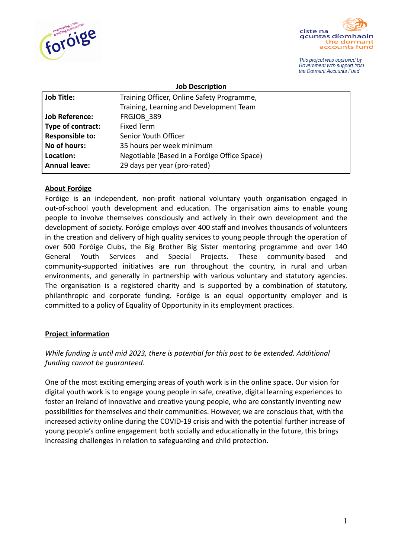



This project was approved by Government with support from the Dormant Accounts Fund

|                        | <b>Job Description</b>                       |
|------------------------|----------------------------------------------|
| <b>Job Title:</b>      | Training Officer, Online Safety Programme,   |
|                        | Training, Learning and Development Team      |
| Job Reference:         | FRGJOB 389                                   |
| Type of contract:      | <b>Fixed Term</b>                            |
| <b>Responsible to:</b> | Senior Youth Officer                         |
| No of hours:           | 35 hours per week minimum                    |
| Location:              | Negotiable (Based in a Foróige Office Space) |
| Annual leave:          | 29 days per year (pro-rated)                 |

### **About Foróige**

Foróige is an independent, non-profit national voluntary youth organisation engaged in out-of-school youth development and education. The organisation aims to enable young people to involve themselves consciously and actively in their own development and the development of society. Foróige employs over 400 staff and involves thousands of volunteers in the creation and delivery of high quality services to young people through the operation of over 600 Foróige Clubs, the Big Brother Big Sister mentoring programme and over 140 General Youth Services and Special Projects. These community-based and community-supported initiatives are run throughout the country, in rural and urban environments, and generally in partnership with various voluntary and statutory agencies. The organisation is a registered charity and is supported by a combination of statutory, philanthropic and corporate funding. Foróige is an equal opportunity employer and is committed to a policy of Equality of Opportunity in its employment practices.

#### **Project information**

## *While funding is until mid 2023, there is potential for this post to be extended. Additional funding cannot be guaranteed.*

One of the most exciting emerging areas of youth work is in the online space. Our vision for digital youth work is to engage young people in safe, creative, digital learning experiences to foster an Ireland of innovative and creative young people, who are constantly inventing new possibilities for themselves and their communities. However, we are conscious that, with the increased activity online during the COVID-19 crisis and with the potential further increase of young people's online engagement both socially and educationally in the future, this brings increasing challenges in relation to safeguarding and child protection.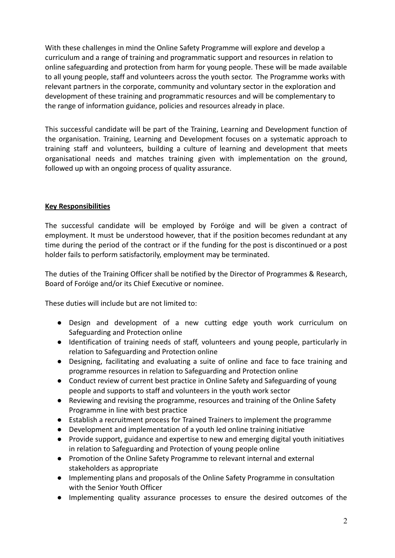With these challenges in mind the Online Safety Programme will explore and develop a curriculum and a range of training and programmatic support and resources in relation to online safeguarding and protection from harm for young people. These will be made available to all young people, staff and volunteers across the youth sector. The Programme works with relevant partners in the corporate, community and voluntary sector in the exploration and development of these training and programmatic resources and will be complementary to the range of information guidance, policies and resources already in place.

This successful candidate will be part of the Training, Learning and Development function of the organisation. Training, Learning and Development focuses on a systematic approach to training staff and volunteers, building a culture of learning and development that meets organisational needs and matches training given with implementation on the ground, followed up with an ongoing process of quality assurance.

### **Key Responsibilities**

The successful candidate will be employed by Foróige and will be given a contract of employment. It must be understood however, that if the position becomes redundant at any time during the period of the contract or if the funding for the post is discontinued or a post holder fails to perform satisfactorily, employment may be terminated.

The duties of the Training Officer shall be notified by the Director of Programmes & Research, Board of Foróige and/or its Chief Executive or nominee.

These duties will include but are not limited to:

- Design and development of a new cutting edge youth work curriculum on Safeguarding and Protection online
- **●** Identification of training needs of staff, volunteers and young people, particularly in relation to Safeguarding and Protection online
- Designing, facilitating and evaluating a suite of online and face to face training and programme resources in relation to Safeguarding and Protection online
- Conduct review of current best practice in Online Safety and Safeguarding of young people and supports to staff and volunteers in the youth work sector
- Reviewing and revising the programme, resources and training of the Online Safety Programme in line with best practice
- Establish a recruitment process for Trained Trainers to implement the programme
- **●** Development and implementation of a youth led online training initiative
- Provide support, guidance and expertise to new and emerging digital youth initiatives in relation to Safeguarding and Protection of young people online
- Promotion of the Online Safety Programme to relevant internal and external stakeholders as appropriate
- Implementing plans and proposals of the Online Safety Programme in consultation with the Senior Youth Officer
- **●** Implementing quality assurance processes to ensure the desired outcomes of the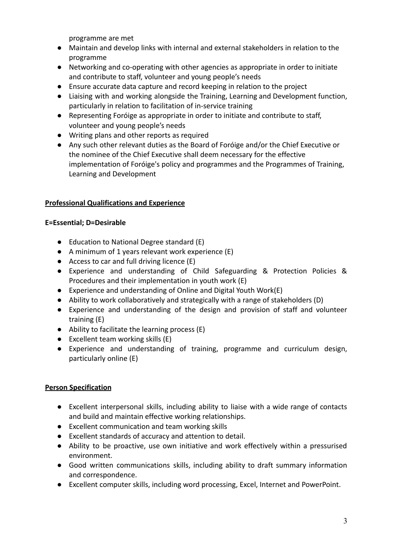programme are met

- Maintain and develop links with internal and external stakeholders in relation to the programme
- Networking and co-operating with other agencies as appropriate in order to initiate and contribute to staff, volunteer and young people's needs
- Ensure accurate data capture and record keeping in relation to the project
- **●** Liaising with and working alongside the Training, Learning and Development function, particularly in relation to facilitation of in-service training
- Representing Foróige as appropriate in order to initiate and contribute to staff, volunteer and young people's needs
- **●** Writing plans and other reports as required
- Any such other relevant duties as the Board of Foróige and/or the Chief Executive or the nominee of the Chief Executive shall deem necessary for the effective implementation of Foróige's policy and programmes and the Programmes of Training, Learning and Development

# **Professional Qualifications and Experience**

## **E=Essential; D=Desirable**

- Education to National Degree standard (E)
- A minimum of 1 years relevant work experience (E)
- Access to car and full driving licence (E)
- Experience and understanding of Child Safeguarding & Protection Policies & Procedures and their implementation in youth work (E)
- Experience and understanding of Online and Digital Youth Work(E)
- Ability to work collaboratively and strategically with a range of stakeholders (D)
- Experience and understanding of the design and provision of staff and volunteer training (E)
- Ability to facilitate the learning process (E)
- $\bullet$  Excellent team working skills (E)
- Experience and understanding of training, programme and curriculum design, particularly online (E)

# **Person Specification**

- Excellent interpersonal skills, including ability to liaise with a wide range of contacts and build and maintain effective working relationships.
- Excellent communication and team working skills
- Excellent standards of accuracy and attention to detail.
- Ability to be proactive, use own initiative and work effectively within a pressurised environment.
- Good written communications skills, including ability to draft summary information and correspondence.
- Excellent computer skills, including word processing, Excel, Internet and PowerPoint.